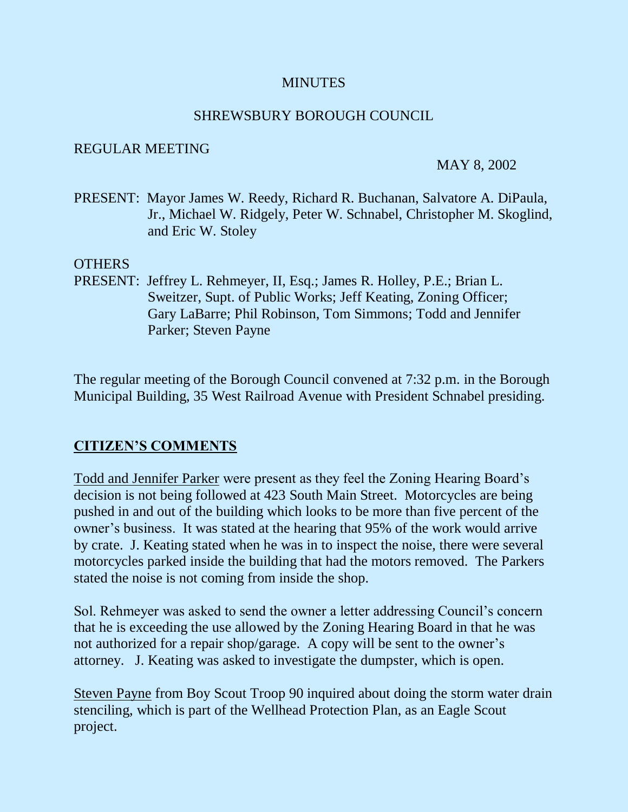### **MINUTES**

### SHREWSBURY BOROUGH COUNCIL

#### REGULAR MEETING

#### MAY 8, 2002

PRESENT: Mayor James W. Reedy, Richard R. Buchanan, Salvatore A. DiPaula, Jr., Michael W. Ridgely, Peter W. Schnabel, Christopher M. Skoglind, and Eric W. Stoley

#### OTHERS

PRESENT: Jeffrey L. Rehmeyer, II, Esq.; James R. Holley, P.E.; Brian L. Sweitzer, Supt. of Public Works; Jeff Keating, Zoning Officer; Gary LaBarre; Phil Robinson, Tom Simmons; Todd and Jennifer Parker; Steven Payne

The regular meeting of the Borough Council convened at 7:32 p.m. in the Borough Municipal Building, 35 West Railroad Avenue with President Schnabel presiding.

## **CITIZEN'S COMMENTS**

Todd and Jennifer Parker were present as they feel the Zoning Hearing Board's decision is not being followed at 423 South Main Street. Motorcycles are being pushed in and out of the building which looks to be more than five percent of the owner's business. It was stated at the hearing that 95% of the work would arrive by crate. J. Keating stated when he was in to inspect the noise, there were several motorcycles parked inside the building that had the motors removed. The Parkers stated the noise is not coming from inside the shop.

Sol. Rehmeyer was asked to send the owner a letter addressing Council's concern that he is exceeding the use allowed by the Zoning Hearing Board in that he was not authorized for a repair shop/garage. A copy will be sent to the owner's attorney. J. Keating was asked to investigate the dumpster, which is open.

Steven Payne from Boy Scout Troop 90 inquired about doing the storm water drain stenciling, which is part of the Wellhead Protection Plan, as an Eagle Scout project.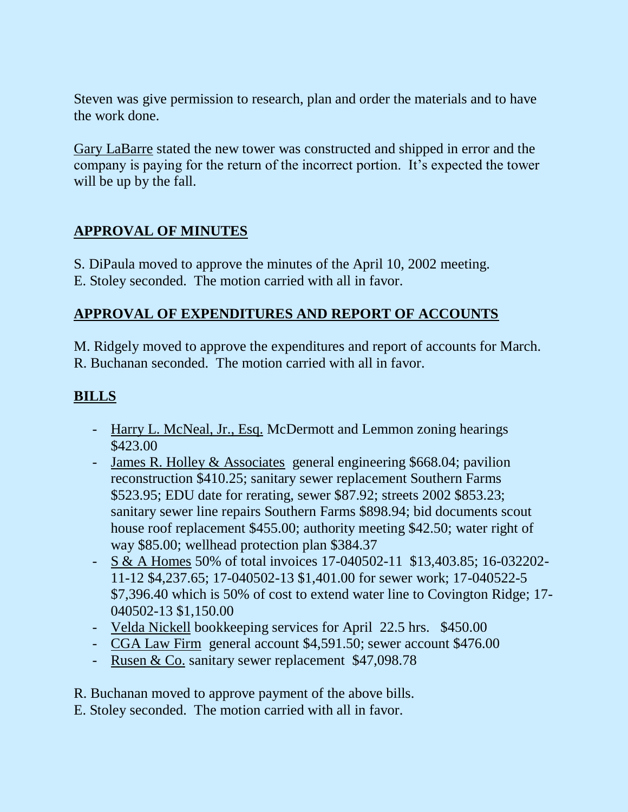Steven was give permission to research, plan and order the materials and to have the work done.

Gary LaBarre stated the new tower was constructed and shipped in error and the company is paying for the return of the incorrect portion. It's expected the tower will be up by the fall.

## **APPROVAL OF MINUTES**

S. DiPaula moved to approve the minutes of the April 10, 2002 meeting.

E. Stoley seconded. The motion carried with all in favor.

## **APPROVAL OF EXPENDITURES AND REPORT OF ACCOUNTS**

M. Ridgely moved to approve the expenditures and report of accounts for March. R. Buchanan seconded. The motion carried with all in favor.

## **BILLS**

- Harry L. McNeal, Jr., Esq. McDermott and Lemmon zoning hearings \$423.00
- James R. Holley & Associates general engineering \$668.04; pavilion reconstruction \$410.25; sanitary sewer replacement Southern Farms \$523.95; EDU date for rerating, sewer \$87.92; streets 2002 \$853.23; sanitary sewer line repairs Southern Farms \$898.94; bid documents scout house roof replacement \$455.00; authority meeting \$42.50; water right of way \$85.00; wellhead protection plan \$384.37
- S & A Homes 50% of total invoices 17-040502-11 \$13,403.85; 16-032202- 11-12 \$4,237.65; 17-040502-13 \$1,401.00 for sewer work; 17-040522-5 \$7,396.40 which is 50% of cost to extend water line to Covington Ridge; 17- 040502-13 \$1,150.00
- Velda Nickell bookkeeping services for April 22.5 hrs. \$450.00
- CGA Law Firm general account \$4,591.50; sewer account \$476.00
- Rusen & Co. sanitary sewer replacement \$47,098.78

R. Buchanan moved to approve payment of the above bills.

E. Stoley seconded. The motion carried with all in favor.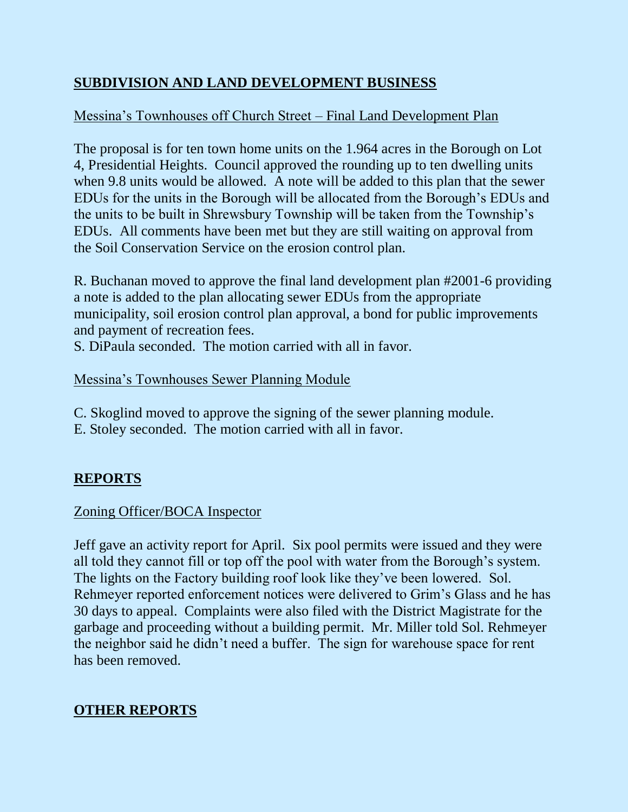# **SUBDIVISION AND LAND DEVELOPMENT BUSINESS**

# Messina's Townhouses off Church Street – Final Land Development Plan

The proposal is for ten town home units on the 1.964 acres in the Borough on Lot 4, Presidential Heights. Council approved the rounding up to ten dwelling units when 9.8 units would be allowed. A note will be added to this plan that the sewer EDUs for the units in the Borough will be allocated from the Borough's EDUs and the units to be built in Shrewsbury Township will be taken from the Township's EDUs. All comments have been met but they are still waiting on approval from the Soil Conservation Service on the erosion control plan.

R. Buchanan moved to approve the final land development plan #2001-6 providing a note is added to the plan allocating sewer EDUs from the appropriate municipality, soil erosion control plan approval, a bond for public improvements and payment of recreation fees.

S. DiPaula seconded. The motion carried with all in favor.

## Messina's Townhouses Sewer Planning Module

- C. Skoglind moved to approve the signing of the sewer planning module.
- E. Stoley seconded. The motion carried with all in favor.

# **REPORTS**

## Zoning Officer/BOCA Inspector

Jeff gave an activity report for April. Six pool permits were issued and they were all told they cannot fill or top off the pool with water from the Borough's system. The lights on the Factory building roof look like they've been lowered. Sol. Rehmeyer reported enforcement notices were delivered to Grim's Glass and he has 30 days to appeal. Complaints were also filed with the District Magistrate for the garbage and proceeding without a building permit. Mr. Miller told Sol. Rehmeyer the neighbor said he didn't need a buffer. The sign for warehouse space for rent has been removed.

# **OTHER REPORTS**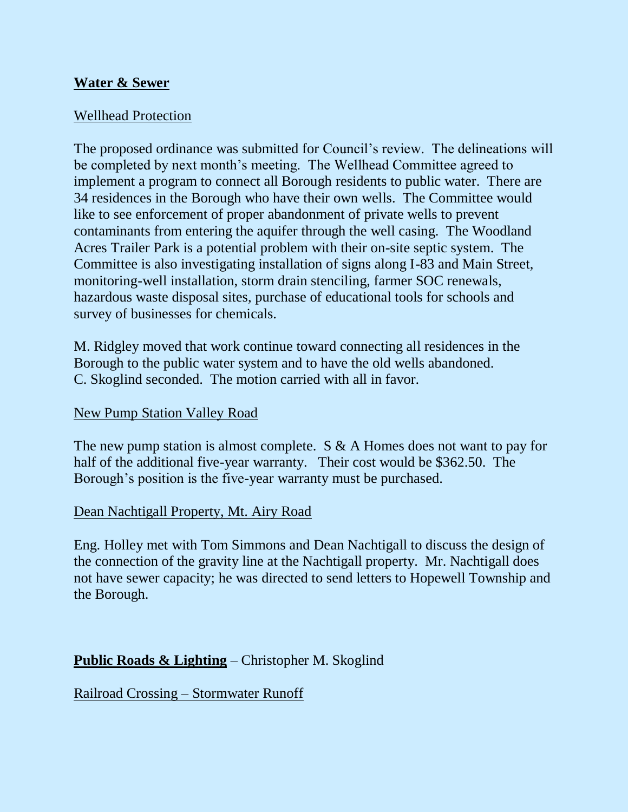### **Water & Sewer**

### Wellhead Protection

The proposed ordinance was submitted for Council's review. The delineations will be completed by next month's meeting. The Wellhead Committee agreed to implement a program to connect all Borough residents to public water. There are 34 residences in the Borough who have their own wells. The Committee would like to see enforcement of proper abandonment of private wells to prevent contaminants from entering the aquifer through the well casing. The Woodland Acres Trailer Park is a potential problem with their on-site septic system. The Committee is also investigating installation of signs along I-83 and Main Street, monitoring-well installation, storm drain stenciling, farmer SOC renewals, hazardous waste disposal sites, purchase of educational tools for schools and survey of businesses for chemicals.

M. Ridgley moved that work continue toward connecting all residences in the Borough to the public water system and to have the old wells abandoned. C. Skoglind seconded. The motion carried with all in favor.

#### New Pump Station Valley Road

The new pump station is almost complete. S & A Homes does not want to pay for half of the additional five-year warranty. Their cost would be \$362.50. The Borough's position is the five-year warranty must be purchased.

#### Dean Nachtigall Property, Mt. Airy Road

Eng. Holley met with Tom Simmons and Dean Nachtigall to discuss the design of the connection of the gravity line at the Nachtigall property. Mr. Nachtigall does not have sewer capacity; he was directed to send letters to Hopewell Township and the Borough.

## **Public Roads & Lighting** – Christopher M. Skoglind

Railroad Crossing – Stormwater Runoff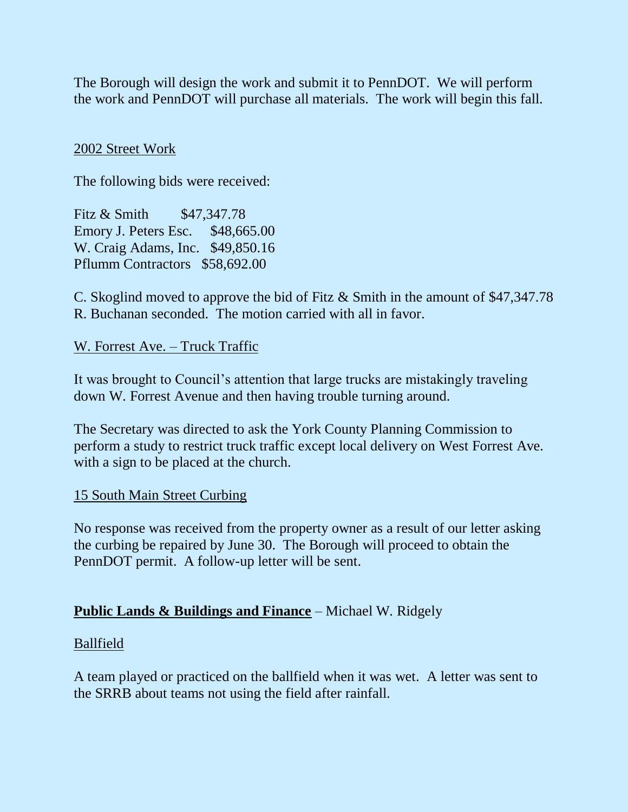The Borough will design the work and submit it to PennDOT. We will perform the work and PennDOT will purchase all materials. The work will begin this fall.

#### 2002 Street Work

The following bids were received:

Fitz & Smith \$47,347.78 Emory J. Peters Esc. \$48,665.00 W. Craig Adams, Inc. \$49,850.16 Pflumm Contractors \$58,692.00

C. Skoglind moved to approve the bid of Fitz & Smith in the amount of \$47,347.78 R. Buchanan seconded. The motion carried with all in favor.

W. Forrest Ave. – Truck Traffic

It was brought to Council's attention that large trucks are mistakingly traveling down W. Forrest Avenue and then having trouble turning around.

The Secretary was directed to ask the York County Planning Commission to perform a study to restrict truck traffic except local delivery on West Forrest Ave. with a sign to be placed at the church.

#### 15 South Main Street Curbing

No response was received from the property owner as a result of our letter asking the curbing be repaired by June 30. The Borough will proceed to obtain the PennDOT permit. A follow-up letter will be sent.

## **Public Lands & Buildings and Finance** – Michael W. Ridgely

#### Ballfield

A team played or practiced on the ballfield when it was wet. A letter was sent to the SRRB about teams not using the field after rainfall.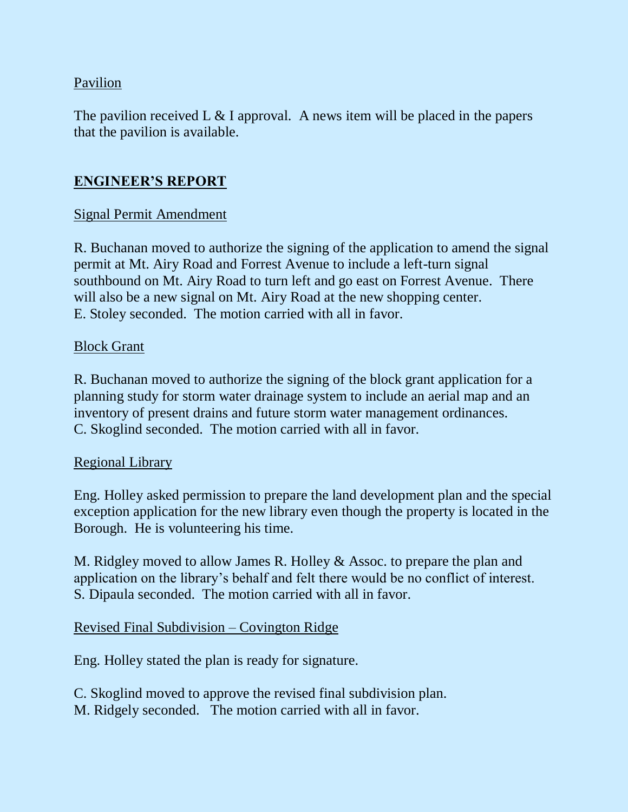## Pavilion

The pavilion received L  $&$  I approval. A news item will be placed in the papers that the pavilion is available.

## **ENGINEER'S REPORT**

## Signal Permit Amendment

R. Buchanan moved to authorize the signing of the application to amend the signal permit at Mt. Airy Road and Forrest Avenue to include a left-turn signal southbound on Mt. Airy Road to turn left and go east on Forrest Avenue. There will also be a new signal on Mt. Airy Road at the new shopping center. E. Stoley seconded. The motion carried with all in favor.

#### Block Grant

R. Buchanan moved to authorize the signing of the block grant application for a planning study for storm water drainage system to include an aerial map and an inventory of present drains and future storm water management ordinances. C. Skoglind seconded. The motion carried with all in favor.

## Regional Library

Eng. Holley asked permission to prepare the land development plan and the special exception application for the new library even though the property is located in the Borough. He is volunteering his time.

M. Ridgley moved to allow James R. Holley & Assoc. to prepare the plan and application on the library's behalf and felt there would be no conflict of interest. S. Dipaula seconded. The motion carried with all in favor.

## Revised Final Subdivision – Covington Ridge

Eng. Holley stated the plan is ready for signature.

C. Skoglind moved to approve the revised final subdivision plan. M. Ridgely seconded. The motion carried with all in favor.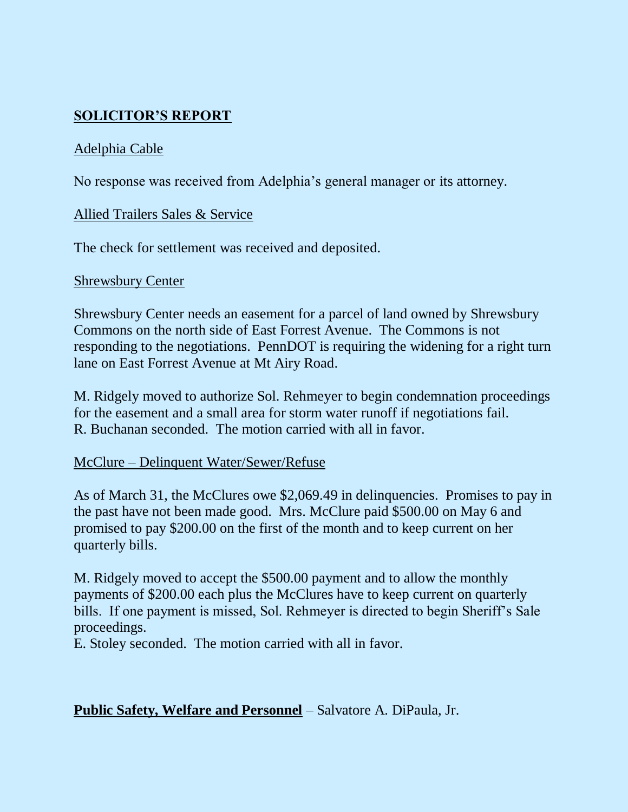# **SOLICITOR'S REPORT**

## Adelphia Cable

No response was received from Adelphia's general manager or its attorney.

#### Allied Trailers Sales & Service

The check for settlement was received and deposited.

#### Shrewsbury Center

Shrewsbury Center needs an easement for a parcel of land owned by Shrewsbury Commons on the north side of East Forrest Avenue. The Commons is not responding to the negotiations. PennDOT is requiring the widening for a right turn lane on East Forrest Avenue at Mt Airy Road.

M. Ridgely moved to authorize Sol. Rehmeyer to begin condemnation proceedings for the easement and a small area for storm water runoff if negotiations fail. R. Buchanan seconded. The motion carried with all in favor.

## McClure – Delinquent Water/Sewer/Refuse

As of March 31, the McClures owe \$2,069.49 in delinquencies. Promises to pay in the past have not been made good. Mrs. McClure paid \$500.00 on May 6 and promised to pay \$200.00 on the first of the month and to keep current on her quarterly bills.

M. Ridgely moved to accept the \$500.00 payment and to allow the monthly payments of \$200.00 each plus the McClures have to keep current on quarterly bills. If one payment is missed, Sol. Rehmeyer is directed to begin Sheriff's Sale proceedings.

E. Stoley seconded. The motion carried with all in favor.

## **Public Safety, Welfare and Personnel** – Salvatore A. DiPaula, Jr.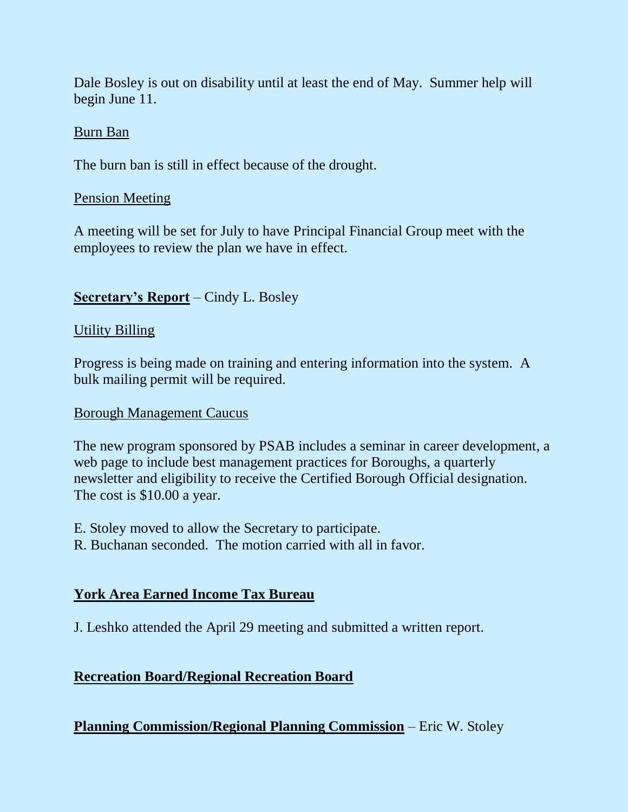Dale Bosley is out on disability until at least the end of May. Summer help will begin June 11.

#### Burn Ban

The burn ban is still in effect because of the drought.

#### Pension Meeting

A meeting will be set for July to have Principal Financial Group meet with the employees to review the plan we have in effect.

## **Secretary's Report** – Cindy L. Bosley

#### Utility Billing

Progress is being made on training and entering information into the system. A bulk mailing permit will be required.

#### Borough Management Caucus

The new program sponsored by PSAB includes a seminar in career development, a web page to include best management practices for Boroughs, a quarterly newsletter and eligibility to receive the Certified Borough Official designation. The cost is \$10.00 a year.

- E. Stoley moved to allow the Secretary to participate.
- R. Buchanan seconded. The motion carried with all in favor.

## **York Area Earned Income Tax Bureau**

J. Leshko attended the April 29 meeting and submitted a written report.

## **Recreation Board/Regional Recreation Board**

**Planning Commission/Regional Planning Commission** – Eric W. Stoley